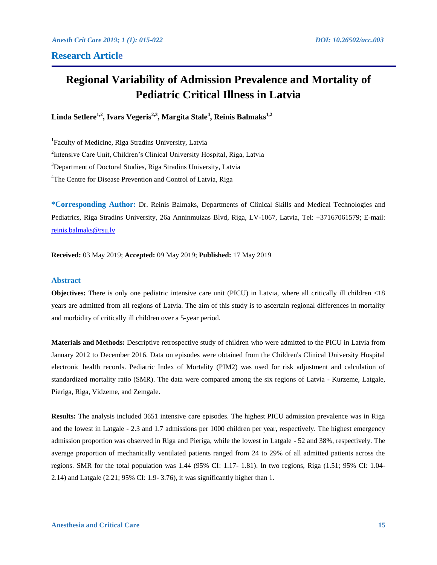# **Research Article**

# **Regional Variability of Admission Prevalence and Mortality of Pediatric Critical Illness in Latvia**

**Linda Setlere1,2, Ivars Vegeris2,3, Margita Stale<sup>4</sup> , Reinis Balmaks1,2**

<sup>1</sup>Faculty of Medicine, Riga Stradins University, Latvia 2 Intensive Care Unit, Children's Clinical University Hospital, Riga, Latvia <sup>3</sup>Department of Doctoral Studies, Riga Stradins University, Latvia <sup>4</sup>The Centre for Disease Prevention and Control of Latvia, Riga

**\*Corresponding Author:** Dr. Reinis Balmaks, Departments of Clinical Skills and Medical Technologies and Pediatrics, Riga Stradins University, 26a Anninmuizas Blvd, Riga, LV-1067, Latvia, Tel: +37167061579; E-mail: [reinis.balmaks@rsu.l](mailto:reinis.balmaks@rsu.lv)v

**Received:** 03 May 2019; **Accepted:** 09 May 2019; **Published:** 17 May 2019

### **Abstract**

**Objectives:** There is only one pediatric intensive care unit (PICU) in Latvia, where all critically ill children  $\langle 18 \rangle$ years are admitted from all regions of Latvia. The aim of this study is to ascertain regional differences in mortality and morbidity of critically ill children over a 5-year period.

**Materials and Methods:** Descriptive retrospective study of children who were admitted to the PICU in Latvia from January 2012 to December 2016. Data on episodes were obtained from the Children's Clinical University Hospital electronic health records. Pediatric Index of Mortality (PIM2) was used for risk adjustment and calculation of standardized mortality ratio (SMR). The data were compared among the six regions of Latvia - Kurzeme, Latgale, Pieriga, Riga, Vidzeme, and Zemgale.

**Results:** The analysis included 3651 intensive care episodes. The highest PICU admission prevalence was in Riga and the lowest in Latgale - 2.3 and 1.7 admissions per 1000 children per year, respectively. The highest emergency admission proportion was observed in Riga and Pieriga, while the lowest in Latgale - 52 and 38%, respectively. The average proportion of mechanically ventilated patients ranged from 24 to 29% of all admitted patients across the regions. SMR for the total population was 1.44 (95% CI: 1.17- 1.81). In two regions, Riga (1.51; 95% CI: 1.04- 2.14) and Latgale (2.21; 95% CI: 1.9- 3.76), it was significantly higher than 1.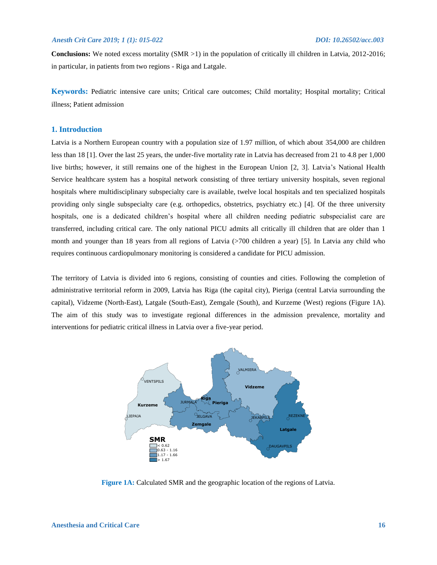**Conclusions:** We noted excess mortality (SMR >1) in the population of critically ill children in Latvia, 2012-2016; in particular, in patients from two regions - Riga and Latgale.

**Keywords:** Pediatric intensive care units; Critical care outcomes; Child mortality; Hospital mortality; Critical illness; Patient admission

# **1. Introduction**

Latvia is a Northern European country with a population size of 1.97 million, of which about 354,000 are children less than 18 [1]. Over the last 25 years, the under-five mortality rate in Latvia has decreased from 21 to 4.8 per 1,000 live births; however, it still remains one of the highest in the European Union [2, 3]. Latvia's National Health Service healthcare system has a hospital network consisting of three tertiary university hospitals, seven regional hospitals where multidisciplinary subspecialty care is available, twelve local hospitals and ten specialized hospitals providing only single subspecialty care (e.g. orthopedics, obstetrics, psychiatry etc.) [4]. Of the three university hospitals, one is a dedicated children's hospital where all children needing pediatric subspecialist care are transferred, including critical care. The only national PICU admits all critically ill children that are older than 1 month and younger than 18 years from all regions of Latvia (>700 children a year) [5]. In Latvia any child who requires continuous cardiopulmonary monitoring is considered a candidate for PICU admission.

The territory of Latvia is divided into 6 regions, consisting of counties and cities. Following the completion of administrative territorial reform in 2009, Latvia has Riga (the capital city), Pieriga (central Latvia surrounding the capital), Vidzeme (North-East), Latgale (South-East), Zemgale (South), and Kurzeme (West) regions (Figure 1A). The aim of this study was to investigate regional differences in the admission prevalence, mortality and interventions for pediatric critical illness in Latvia over a five-year period.



**Figure 1A:** Calculated SMR and the geographic location of the regions of Latvia.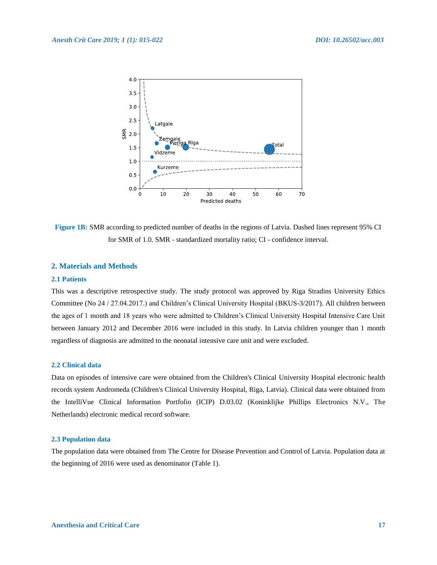

**Figure 1B:** SMR according to predicted number of deaths in the regions of Latvia. Dashed lines represent 95% CI for SMR of 1.0. SMR - standardized mortality ratio; CI - confidence interval.

# **2. Materials and Methods**

# **2.1 Patients**

This was a descriptive retrospective study. The study protocol was approved by Riga Stradins University Ethics Committee (No 24 / 27.04.2017.) and Children's Clinical University Hospital (BKUS-3/2017). All children between the ages of 1 month and 18 years who were admitted to Children's Clinical University Hospital Intensive Care Unit between January 2012 and December 2016 were included in this study. In Latvia children younger than 1 month regardless of diagnosis are admitted to the neonatal intensive care unit and were excluded.

# **2.2 Clinical data**

Data on episodes of intensive care were obtained from the Children's Clinical University Hospital electronic health records system Andromeda (Children's Clinical University Hospital, Riga, Latvia). Clinical data were obtained from the IntelliVue Clinical Information Portfolio (ICIP) D.03.02 (Koninklijke Phillips Electronics N.V., The Netherlands) electronic medical record software.

# **2.3 Population data**

The population data were obtained from The Centre for Disease Prevention and Control of Latvia. Population data at the beginning of 2016 were used as denominator (Table 1).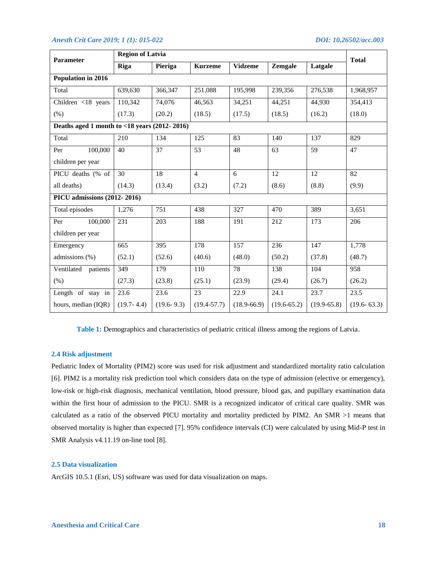| <b>Parameter</b>                                | <b>Region of Latvia</b> | <b>Total</b>   |                 |                 |                 |               |                 |  |  |  |  |  |
|-------------------------------------------------|-------------------------|----------------|-----------------|-----------------|-----------------|---------------|-----------------|--|--|--|--|--|
|                                                 | Riga                    | Pieriga        | <b>Kurzeme</b>  | <b>Vidzeme</b>  | Zemgale         | Latgale       |                 |  |  |  |  |  |
| Population in 2016                              |                         |                |                 |                 |                 |               |                 |  |  |  |  |  |
| Total                                           | 639,630                 | 366,347        | 251,088         | 195,998         | 239,356         | 276,538       | 1,968,957       |  |  |  |  |  |
| Children <18 years                              | 110,342                 | 74,076         | 46,563          | 34,251          | 44,251          | 44,930        | 354,413         |  |  |  |  |  |
| (% )                                            | (17.3)                  | (20.2)         | (18.5)          | (17.5)          | (18.5)          | (16.2)        | (18.0)          |  |  |  |  |  |
| Deaths aged 1 month to $<$ 18 years (2012-2016) |                         |                |                 |                 |                 |               |                 |  |  |  |  |  |
| Total                                           | 210                     | 134            | 125             | 83              | 140             | 137           | 829             |  |  |  |  |  |
| 100,000<br>Per                                  | 40                      | 37             | 53              | 48              | 63              | 59            | 47              |  |  |  |  |  |
| children per year                               |                         |                |                 |                 |                 |               |                 |  |  |  |  |  |
| PICU deaths (% of                               | 30                      | 18             | $\overline{4}$  | 6               | 12              | 12            | 82              |  |  |  |  |  |
| all deaths)                                     | (14.3)                  | (13.4)         | (3.2)           | (7.2)           | (8.6)           | (8.8)         | (9.9)           |  |  |  |  |  |
| PICU admissions (2012-2016)                     |                         |                |                 |                 |                 |               |                 |  |  |  |  |  |
| Total episodes                                  | 1,276                   | 751            | 438             | 327             | 470             | 389           | 3,651           |  |  |  |  |  |
| 100,000<br>Per                                  | 231                     | 203            | 188             | 191             | 212             | 173           | 206             |  |  |  |  |  |
| children per year                               |                         |                |                 |                 |                 |               |                 |  |  |  |  |  |
| Emergency                                       | 665                     | 395            | 178             | 157             | 236             | 147           | 1,778           |  |  |  |  |  |
| admissions (%)                                  | (52.1)                  | (52.6)         | (40.6)          | (48.0)          | (50.2)          | (37.8)        | (48.7)          |  |  |  |  |  |
| Ventilated<br>patients                          | 349                     | 179            | 110             | 78              | 138             | 104           | 958             |  |  |  |  |  |
| (% )                                            | (27.3)                  | (23.8)         | (25.1)          | (23.9)          | (29.4)          | (26.7)        | (26.2)          |  |  |  |  |  |
| Length of stay in                               | 23.6                    | 23.6           | 23              | 22.9            | 24.1            | 23.7          | 23.5            |  |  |  |  |  |
| hours, median (IQR)                             | $(19.7 - 4.4)$          | $(19.6 - 9.3)$ | $(19.4 - 57.7)$ | $(18.9 - 66.9)$ | $(19.6 - 65.2)$ | $(19.9-65.8)$ | $(19.6 - 63.3)$ |  |  |  |  |  |

**Table 1:** Demographics and characteristics of pediatric critical illness among the regions of Latvia.

# **2.4 Risk adjustment**

Pediatric Index of Mortality (PIM2) score was used for risk adjustment and standardized mortality ratio calculation [6]. PIM2 is a mortality risk prediction tool which considers data on the type of admission (elective or emergency), low-risk or high-risk diagnosis, mechanical ventilation, blood pressure, blood gas, and pupillary examination data within the first hour of admission to the PICU. SMR is a recognized indicator of critical care quality. SMR was calculated as a ratio of the observed PICU mortality and mortality predicted by PIM2. An SMR >1 means that observed mortality is higher than expected [7]. 95% confidence intervals (CI) were calculated by using Mid-P test in SMR Analysis v4.11.19 on-line tool [8].

#### **2.5 Data visualization**

ArcGIS 10.5.1 (Esri, US) software was used for data visualization on maps.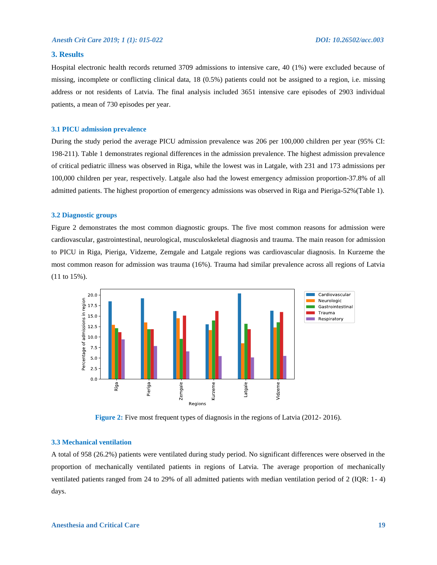# **3. Results**

Hospital electronic health records returned 3709 admissions to intensive care, 40 (1%) were excluded because of missing, incomplete or conflicting clinical data, 18 (0.5%) patients could not be assigned to a region, i.e. missing address or not residents of Latvia. The final analysis included 3651 intensive care episodes of 2903 individual patients, a mean of 730 episodes per year.

#### **3.1 PICU admission prevalence**

During the study period the average PICU admission prevalence was 206 per 100,000 children per year (95% CI: 198-211). Table 1 demonstrates regional differences in the admission prevalence. The highest admission prevalence of critical pediatric illness was observed in Riga, while the lowest was in Latgale, with 231 and 173 admissions per 100,000 children per year, respectively. Latgale also had the lowest emergency admission proportion-37.8% of all admitted patients. The highest proportion of emergency admissions was observed in Riga and Pieriga-52%(Table 1).

# **3.2 Diagnostic groups**

Figure 2 demonstrates the most common diagnostic groups. The five most common reasons for admission were cardiovascular, gastrointestinal, neurological, musculoskeletal diagnosis and trauma. The main reason for admission to PICU in Riga, Pieriga, Vidzeme, Zemgale and Latgale regions was cardiovascular diagnosis. In Kurzeme the most common reason for admission was trauma (16%). Trauma had similar prevalence across all regions of Latvia (11 to 15%).



**Figure 2:** Five most frequent types of diagnosis in the regions of Latvia (2012-2016).

# **3.3 Mechanical ventilation**

A total of 958 (26.2%) patients were ventilated during study period. No significant differences were observed in the proportion of mechanically ventilated patients in regions of Latvia. The average proportion of mechanically ventilated patients ranged from 24 to 29% of all admitted patients with median ventilation period of 2 (IQR: 1- 4) days.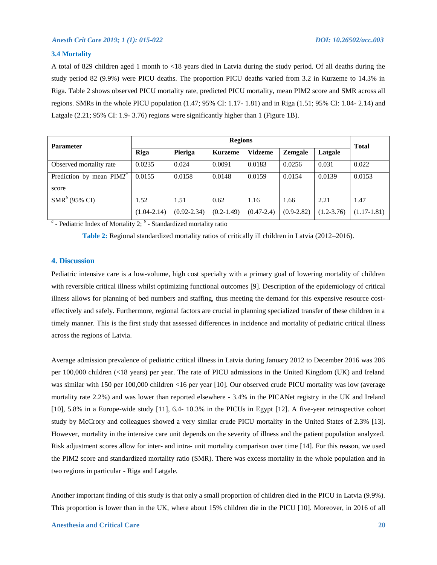#### **3.4 Mortality**

A total of 829 children aged 1 month to <18 years died in Latvia during the study period. Of all deaths during the study period 82 (9.9%) were PICU deaths. The proportion PICU deaths varied from 3.2 in Kurzeme to 14.3% in Riga. Table 2 shows observed PICU mortality rate, predicted PICU mortality, mean PIM2 score and SMR across all regions. SMRs in the whole PICU population (1.47; 95% CI: 1.17- 1.81) and in Riga (1.51; 95% CI: 1.04- 2.14) and Latgale (2.21; 95% CI: 1.9- 3.76) regions were significantly higher than 1 (Figure 1B).

| <b>Parameter</b>                   | <b>Regions</b>  |                 |                |                |              |                |               |  |
|------------------------------------|-----------------|-----------------|----------------|----------------|--------------|----------------|---------------|--|
|                                    | Riga            | Pieriga         | <b>Kurzeme</b> | <b>Vidzeme</b> | Zemgale      | Latgale        | <b>Total</b>  |  |
| Observed mortality rate            | 0.0235          | 0.024           | 0.0091         | 0.0183         | 0.0256       | 0.031          | 0.022         |  |
| Prediction by mean $PIM2^u$        | 0.0155          | 0.0158          | 0.0148         | 0.0159         | 0.0154       | 0.0139         | 0.0153        |  |
| score                              |                 |                 |                |                |              |                |               |  |
| $\overline{\text{SMR}}^b$ (95% CI) | 1.52            | 1.51            | 0.62           | 1.16           | 1.66         | 2.21           | 1.47          |  |
|                                    | $(1.04 - 2.14)$ | $(0.92 - 2.34)$ | $(0.2 - 1.49)$ | $(0.47 - 2.4)$ | $(0.9-2.82)$ | $(1.2 - 3.76)$ | $(1.17-1.81)$ |  |

<sup>*a*</sup> - Pediatric Index of Mortality 2; <sup>*b*</sup> - Standardized mortality ratio

**Table 2:** Regional standardized mortality ratios of critically ill children in Latvia (2012–2016).

# **4. Discussion**

Pediatric intensive care is a low-volume, high cost specialty with a primary goal of lowering mortality of children with reversible critical illness whilst optimizing functional outcomes [9]. Description of the epidemiology of critical illness allows for planning of bed numbers and staffing, thus meeting the demand for this expensive resource costeffectively and safely. Furthermore, regional factors are crucial in planning specialized transfer of these children in a timely manner. This is the first study that assessed differences in incidence and mortality of pediatric critical illness across the regions of Latvia.

Average admission prevalence of pediatric critical illness in Latvia during January 2012 to December 2016 was 206 per 100,000 children (<18 years) per year. The rate of PICU admissions in the United Kingdom (UK) and Ireland was similar with 150 per 100,000 children <16 per year [10]. Our observed crude PICU mortality was low (average mortality rate 2.2%) and was lower than reported elsewhere - 3.4% in the PICANet registry in the UK and Ireland [10], 5.8% in a Europe-wide study [11], 6.4- 10.3% in the PICUs in Egypt [12]. A five-year retrospective cohort study by McCrory and colleagues showed a very similar crude PICU mortality in the United States of 2.3% [13]. However, mortality in the intensive care unit depends on the severity of illness and the patient population analyzed. Risk adjustment scores allow for inter- and intra- unit mortality comparison over time [14]. For this reason, we used the PIM2 score and standardized mortality ratio (SMR). There was excess mortality in the whole population and in two regions in particular - Riga and Latgale.

Another important finding of this study is that only a small proportion of children died in the PICU in Latvia (9.9%). This proportion is lower than in the UK, where about 15% children die in the PICU [10]. Moreover, in 2016 of all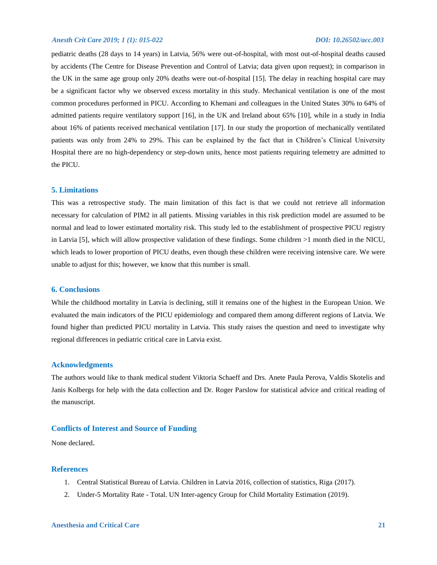pediatric deaths (28 days to 14 years) in Latvia, 56% were out-of-hospital, with most out-of-hospital deaths caused by accidents (The Centre for Disease Prevention and Control of Latvia; data given upon request); in comparison in the UK in the same age group only 20% deaths were out-of-hospital [15]. The delay in reaching hospital care may be a significant factor why we observed excess mortality in this study. Mechanical ventilation is one of the most common procedures performed in PICU. According to Khemani and colleagues in the United States 30% to 64% of admitted patients require ventilatory support [16], in the UK and Ireland about 65% [10], while in a study in India about 16% of patients received mechanical ventilation [17]. In our study the proportion of mechanically ventilated patients was only from 24% to 29%. This can be explained by the fact that in Children's Clinical University Hospital there are no high-dependency or step-down units, hence most patients requiring telemetry are admitted to the PICU.

## **5. Limitations**

This was a retrospective study. The main limitation of this fact is that we could not retrieve all information necessary for calculation of PIM2 in all patients. Missing variables in this risk prediction model are assumed to be normal and lead to lower estimated mortality risk. This study led to the establishment of prospective PICU registry in Latvia [5], which will allow prospective validation of these findings. Some children >1 month died in the NICU, which leads to lower proportion of PICU deaths, even though these children were receiving intensive care. We were unable to adjust for this; however, we know that this number is small.

# **6. Conclusions**

While the childhood mortality in Latvia is declining, still it remains one of the highest in the European Union. We evaluated the main indicators of the PICU epidemiology and compared them among different regions of Latvia. We found higher than predicted PICU mortality in Latvia. This study raises the question and need to investigate why regional differences in pediatric critical care in Latvia exist.

# **Acknowledgments**

The authors would like to thank medical student Viktoria Schaeff and Drs. Anete Paula Perova, Valdis Skotelis and Janis Kolbergs for help with the data collection and Dr. Roger Parslow for statistical advice and critical reading of the manuscript.

# **Conflicts of Interest and Source of Funding**

None declared.

# **References**

- 1. Central Statistical Bureau of Latvia. Children in Latvia 2016, collection of statistics, Riga (2017).
- 2. Under-5 Mortality Rate Total. UN Inter-agency Group for Child Mortality Estimation (2019).